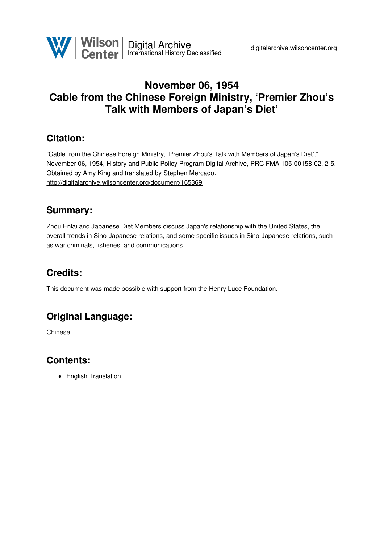

## **November 06, 1954 Cable from the Chinese Foreign Ministry, 'Premier Zhou's Talk with Members of Japan's Diet'**

#### **Citation:**

"Cable from the Chinese Foreign Ministry, 'Premier Zhou's Talk with Members of Japan's Diet'," November 06, 1954, History and Public Policy Program Digital Archive, PRC FMA 105-00158-02, 2-5. Obtained by Amy King and translated by Stephen Mercado. <http://digitalarchive.wilsoncenter.org/document/165369>

## **Summary:**

Zhou Enlai and Japanese Diet Members discuss Japan's relationship with the United States, the overall trends in Sino-Japanese relations, and some specific issues in Sino-Japanese relations, such as war criminals, fisheries, and communications.

# **Credits:**

This document was made possible with support from the Henry Luce Foundation.

## **Original Language:**

Chinese

## **Contents:**

• English Translation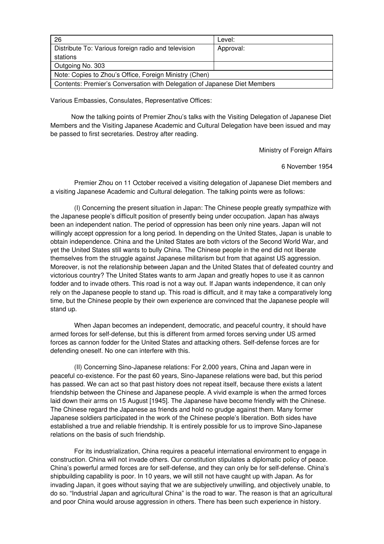| 26                                                                        | Level:    |
|---------------------------------------------------------------------------|-----------|
| Distribute To: Various foreign radio and television                       | Approval: |
| stations                                                                  |           |
| Outgoing No. 303                                                          |           |
| Note: Copies to Zhou's Office, Foreign Ministry (Chen)                    |           |
| Contents: Premier's Conversation with Delegation of Japanese Diet Members |           |

Various Embassies, Consulates, Representative Offices:

Now the talking points of Premier Zhou's talks with the Visiting Delegation of Japanese Diet Members and the Visiting Japanese Academic and Cultural Delegation have been issued and may be passed to first secretaries. Destroy after reading.

Ministry of Foreign Affairs

6 November 1954

Premier Zhou on 11 October received a visiting delegation of Japanese Diet members and a visiting Japanese Academic and Cultural delegation. The talking points were as follows:

(I) Concerning the present situation in Japan: The Chinese people greatly sympathize with the Japanese people's difficult position of presently being under occupation. Japan has always been an independent nation. The period of oppression has been only nine years. Japan will not willingly accept oppression for a long period. In depending on the United States, Japan is unable to obtain independence. China and the United States are both victors of the Second World War, and yet the United States still wants to bully China. The Chinese people in the end did not liberate themselves from the struggle against Japanese militarism but from that against US aggression. Moreover, is not the relationship between Japan and the United States that of defeated country and victorious country? The United States wants to arm Japan and greatly hopes to use it as cannon fodder and to invade others. This road is not a way out. If Japan wants independence, it can only rely on the Japanese people to stand up. This road is difficult, and it may take a comparatively long time, but the Chinese people by their own experience are convinced that the Japanese people will stand up.

When Japan becomes an independent, democratic, and peaceful country, it should have armed forces for self-defense, but this is different from armed forces serving under US armed forces as cannon fodder for the United States and attacking others. Self-defense forces are for defending oneself. No one can interfere with this.

(II) Concerning Sino-Japanese relations: For 2,000 years, China and Japan were in peaceful co-existence. For the past 60 years, Sino-Japanese relations were bad, but this period has passed. We can act so that past history does not repeat itself, because there exists a latent friendship between the Chinese and Japanese people. A vivid example is when the armed forces laid down their arms on 15 August [1945]. The Japanese have become friendly with the Chinese. The Chinese regard the Japanese as friends and hold no grudge against them. Many former Japanese soldiers participated in the work of the Chinese people's liberation. Both sides have established a true and reliable friendship. It is entirely possible for us to improve Sino-Japanese relations on the basis of such friendship.

For its industrialization, China requires a peaceful international environment to engage in construction. China will not invade others. Our constitution stipulates a diplomatic policy of peace. China's powerful armed forces are for self-defense, and they can only be for self-defense. China's shipbuilding capability is poor. In 10 years, we will still not have caught up with Japan. As for invading Japan, it goes without saying that we are subjectively unwilling, and objectively unable, to do so. "Industrial Japan and agricultural China" is the road to war. The reason is that an agricultural and poor China would arouse aggression in others. There has been such experience in history.